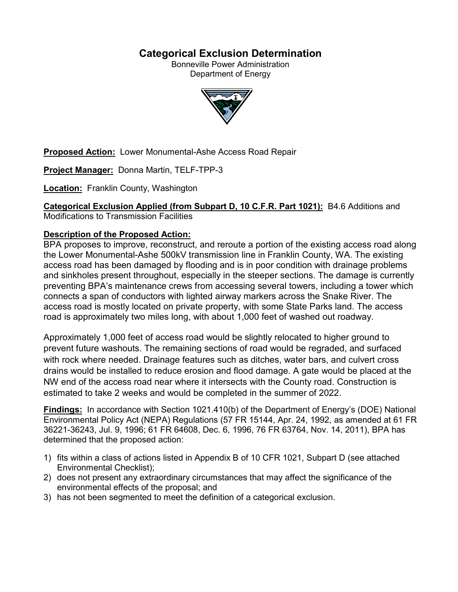# **Categorical Exclusion Determination**

Bonneville Power Administration Department of Energy



**Proposed Action:** Lower Monumental-Ashe Access Road Repair

**Project Manager:** Donna Martin, TELF-TPP-3

**Location:** Franklin County, Washington

**Categorical Exclusion Applied (from Subpart D, 10 C.F.R. Part 1021):** B4.6 Additions and

Modifications to Transmission Facilities

# **Description of the Proposed Action:**

BPA proposes to improve, reconstruct, and reroute a portion of the existing access road along the Lower Monumental-Ashe 500kV transmission line in Franklin County, WA. The existing access road has been damaged by flooding and is in poor condition with drainage problems and sinkholes present throughout, especially in the steeper sections. The damage is currently preventing BPA's maintenance crews from accessing several towers, including a tower which connects a span of conductors with lighted airway markers across the Snake River. The access road is mostly located on private property, with some State Parks land. The access road is approximately two miles long, with about 1,000 feet of washed out roadway.

Approximately 1,000 feet of access road would be slightly relocated to higher ground to prevent future washouts. The remaining sections of road would be regraded, and surfaced with rock where needed. Drainage features such as ditches, water bars, and culvert cross drains would be installed to reduce erosion and flood damage. A gate would be placed at the NW end of the access road near where it intersects with the County road. Construction is estimated to take 2 weeks and would be completed in the summer of 2022.

**Findings:** In accordance with Section 1021.410(b) of the Department of Energy's (DOE) National Environmental Policy Act (NEPA) Regulations (57 FR 15144, Apr. 24, 1992, as amended at 61 FR 36221-36243, Jul. 9, 1996; 61 FR 64608, Dec. 6, 1996, 76 FR 63764, Nov. 14, 2011), BPA has determined that the proposed action:

- 1) fits within a class of actions listed in Appendix B of 10 CFR 1021, Subpart D (see attached Environmental Checklist);
- 2) does not present any extraordinary circumstances that may affect the significance of the environmental effects of the proposal; and
- 3) has not been segmented to meet the definition of a categorical exclusion.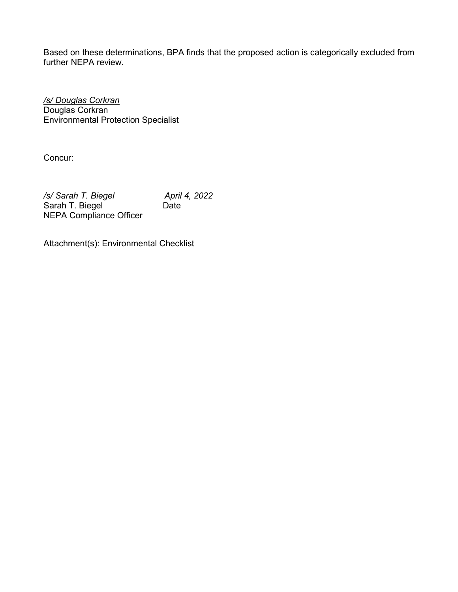Based on these determinations, BPA finds that the proposed action is categorically excluded from further NEPA review.

*/s/ Douglas Corkran* Douglas Corkran Environmental Protection Specialist

Concur:

*/s/ Sarah T. Biegel April 4, 2022<br>
Sarah T. Biegel Date* Sarah T. Biegel NEPA Compliance Officer

Attachment(s): Environmental Checklist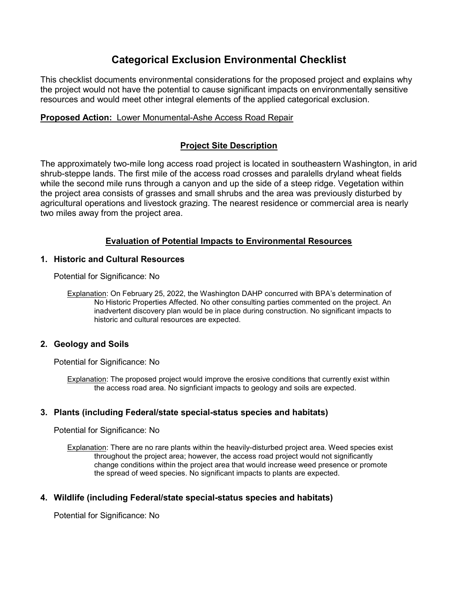# **Categorical Exclusion Environmental Checklist**

This checklist documents environmental considerations for the proposed project and explains why the project would not have the potential to cause significant impacts on environmentally sensitive resources and would meet other integral elements of the applied categorical exclusion.

## **Proposed Action:** Lower Monumental-Ashe Access Road Repair

## **Project Site Description**

The approximately two-mile long access road project is located in southeastern Washington, in arid shrub-steppe lands. The first mile of the access road crosses and paralells dryland wheat fields while the second mile runs through a canyon and up the side of a steep ridge. Vegetation within the project area consists of grasses and small shrubs and the area was previously disturbed by agricultural operations and livestock grazing. The nearest residence or commercial area is nearly two miles away from the project area.

# **Evaluation of Potential Impacts to Environmental Resources**

## **1. Historic and Cultural Resources**

Potential for Significance: No

Explanation: On February 25, 2022, the Washington DAHP concurred with BPA's determination of No Historic Properties Affected. No other consulting parties commented on the project. An inadvertent discovery plan would be in place during construction. No significant impacts to historic and cultural resources are expected.

## **2. Geology and Soils**

Potential for Significance: No

Explanation: The proposed project would improve the erosive conditions that currently exist within the access road area. No signficiant impacts to geology and soils are expected.

## **3. Plants (including Federal/state special-status species and habitats)**

Potential for Significance: No

Explanation: There are no rare plants within the heavily-disturbed project area. Weed species exist throughout the project area; however, the access road project would not significantly change conditions within the project area that would increase weed presence or promote the spread of weed species. No significant impacts to plants are expected.

## **4. Wildlife (including Federal/state special-status species and habitats)**

Potential for Significance: No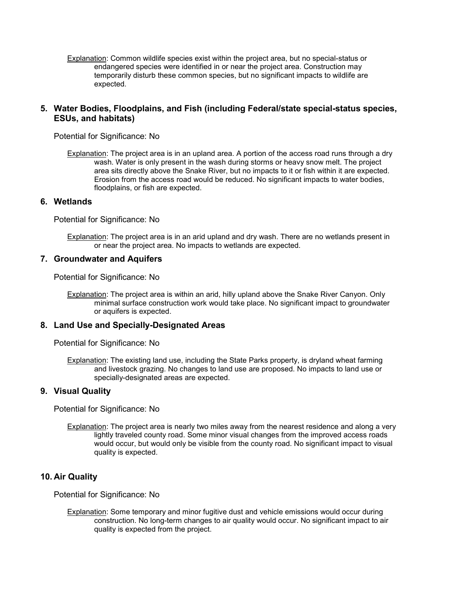Explanation: Common wildlife species exist within the project area, but no special-status or endangered species were identified in or near the project area. Construction may temporarily disturb these common species, but no significant impacts to wildlife are expected.

#### **5. Water Bodies, Floodplains, and Fish (including Federal/state special-status species, ESUs, and habitats)**

Potential for Significance: No

Explanation: The project area is in an upland area. A portion of the access road runs through a dry wash. Water is only present in the wash during storms or heavy snow melt. The project area sits directly above the Snake River, but no impacts to it or fish within it are expected. Erosion from the access road would be reduced. No significant impacts to water bodies, floodplains, or fish are expected.

#### **6. Wetlands**

Potential for Significance: No

Explanation: The project area is in an arid upland and dry wash. There are no wetlands present in or near the project area. No impacts to wetlands are expected.

#### **7. Groundwater and Aquifers**

Potential for Significance: No

Explanation: The project area is within an arid, hilly upland above the Snake River Canyon. Only minimal surface construction work would take place. No significant impact to groundwater or aquifers is expected.

#### **8. Land Use and Specially-Designated Areas**

Potential for Significance: No

Explanation: The existing land use, including the State Parks property, is dryland wheat farming and livestock grazing. No changes to land use are proposed. No impacts to land use or specially-designated areas are expected.

#### **9. Visual Quality**

Potential for Significance: No

Explanation: The project area is nearly two miles away from the nearest residence and along a very lightly traveled county road. Some minor visual changes from the improved access roads would occur, but would only be visible from the county road. No significant impact to visual quality is expected.

### **10. Air Quality**

Potential for Significance: No

Explanation: Some temporary and minor fugitive dust and vehicle emissions would occur during construction. No long-term changes to air quality would occur. No significant impact to air quality is expected from the project.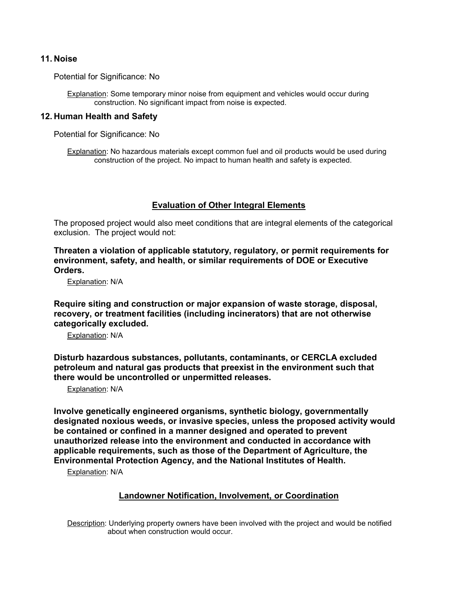#### **11. Noise**

Potential for Significance: No

Explanation: Some temporary minor noise from equipment and vehicles would occur during construction. No significant impact from noise is expected.

#### **12. Human Health and Safety**

Potential for Significance: No

Explanation: No hazardous materials except common fuel and oil products would be used during construction of the project. No impact to human health and safety is expected.

#### **Evaluation of Other Integral Elements**

The proposed project would also meet conditions that are integral elements of the categorical exclusion. The project would not:

**Threaten a violation of applicable statutory, regulatory, or permit requirements for environment, safety, and health, or similar requirements of DOE or Executive Orders.**

Explanation: N/A

**Require siting and construction or major expansion of waste storage, disposal, recovery, or treatment facilities (including incinerators) that are not otherwise categorically excluded.**

Explanation: N/A

**Disturb hazardous substances, pollutants, contaminants, or CERCLA excluded petroleum and natural gas products that preexist in the environment such that there would be uncontrolled or unpermitted releases.**

Explanation: N/A

**Involve genetically engineered organisms, synthetic biology, governmentally designated noxious weeds, or invasive species, unless the proposed activity would be contained or confined in a manner designed and operated to prevent unauthorized release into the environment and conducted in accordance with applicable requirements, such as those of the Department of Agriculture, the Environmental Protection Agency, and the National Institutes of Health.**

Explanation: N/A

### **Landowner Notification, Involvement, or Coordination**

Description: Underlying property owners have been involved with the project and would be notified about when construction would occur.